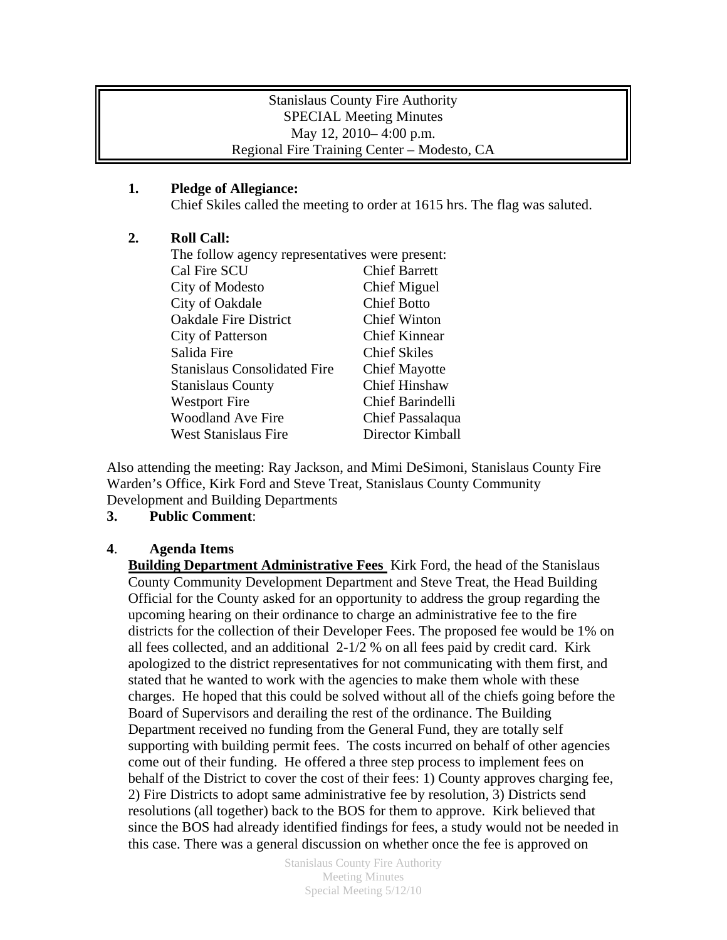### Stanislaus County Fire Authority SPECIAL Meeting Minutes May 12, 2010– 4:00 p.m. Regional Fire Training Center – Modesto, CA

## **1. Pledge of Allegiance:**

Chief Skiles called the meeting to order at 1615 hrs. The flag was saluted.

## **2. Roll Call:**

| The follow agency representatives were present: |  |
|-------------------------------------------------|--|
| <b>Chief Barrett</b>                            |  |
| <b>Chief Miguel</b>                             |  |
| <b>Chief Botto</b>                              |  |
| <b>Chief Winton</b>                             |  |
| <b>Chief Kinnear</b>                            |  |
| <b>Chief Skiles</b>                             |  |
| <b>Chief Mayotte</b>                            |  |
| <b>Chief Hinshaw</b>                            |  |
| Chief Barindelli                                |  |
| Chief Passalaqua                                |  |
| Director Kimball                                |  |
|                                                 |  |

Also attending the meeting: Ray Jackson, and Mimi DeSimoni, Stanislaus County Fire Warden's Office, Kirk Ford and Steve Treat, Stanislaus County Community Development and Building Departments

# **3. Public Comment**:

### **4**. **Agenda Items**

**Building Department Administrative Fees** Kirk Ford, the head of the Stanislaus County Community Development Department and Steve Treat, the Head Building Official for the County asked for an opportunity to address the group regarding the upcoming hearing on their ordinance to charge an administrative fee to the fire districts for the collection of their Developer Fees. The proposed fee would be 1% on all fees collected, and an additional  $2-1/2$  % on all fees paid by credit card. Kirk apologized to the district representatives for not communicating with them first, and stated that he wanted to work with the agencies to make them whole with these charges. He hoped that this could be solved without all of the chiefs going before the Board of Supervisors and derailing the rest of the ordinance. The Building Department received no funding from the General Fund, they are totally self supporting with building permit fees. The costs incurred on behalf of other agencies come out of their funding. He offered a three step process to implement fees on behalf of the District to cover the cost of their fees: 1) County approves charging fee, 2) Fire Districts to adopt same administrative fee by resolution, 3) Districts send resolutions (all together) back to the BOS for them to approve. Kirk believed that since the BOS had already identified findings for fees, a study would not be needed in this case. There was a general discussion on whether once the fee is approved on

> Stanislaus County Fire Authority Meeting Minutes Special Meeting 5/12/10